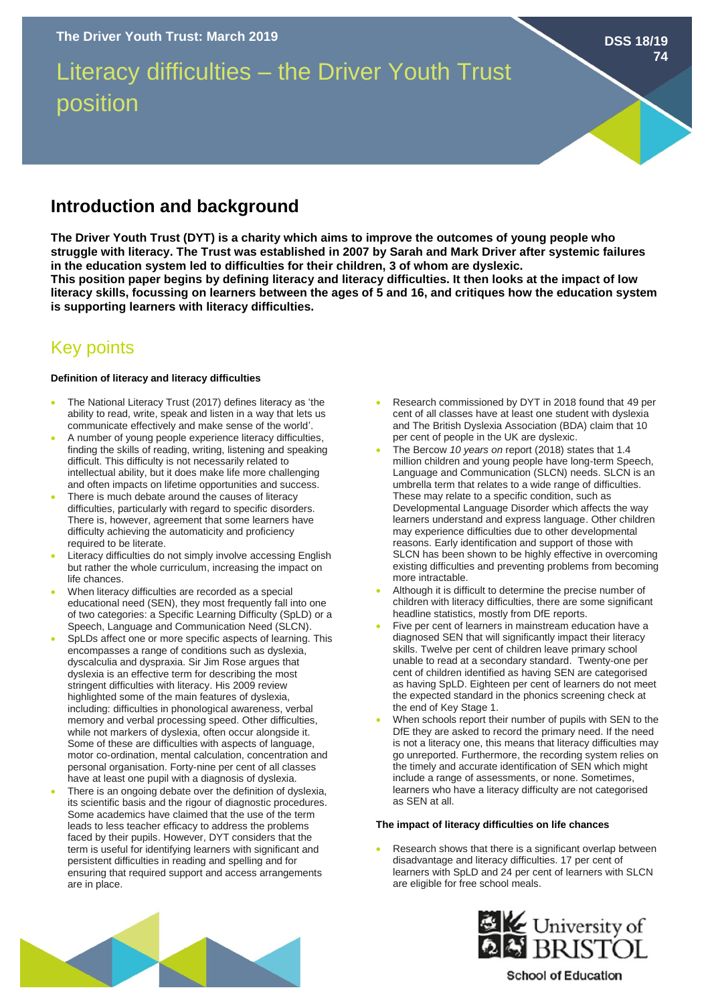# Literacy difficulties – the Driver Youth Trust position

### **Introduction and background**

**The Driver Youth Trust (DYT) is a charity which aims to improve the outcomes of young people who struggle with literacy. The Trust was established in 2007 by Sarah and Mark Driver after systemic failures in the education system led to difficulties for their children, 3 of whom are dyslexic. This position paper begins by defining literacy and literacy difficulties. It then looks at the impact of low literacy skills, focussing on learners between the ages of 5 and 16, and critiques how the education system is supporting learners with literacy difficulties.** 

## Key points

#### **Definition of literacy and literacy difficulties**

- The National Literacy Trust (2017) defines literacy as 'the ability to read, write, speak and listen in a way that lets us communicate effectively and make sense of the world'.
- A number of young people experience literacy difficulties, finding the skills of reading, writing, listening and speaking difficult. This difficulty is not necessarily related to intellectual ability, but it does make life more challenging and often impacts on lifetime opportunities and success.
- There is much debate around the causes of literacy difficulties, particularly with regard to specific disorders. There is, however, agreement that some learners have difficulty achieving the automaticity and proficiency required to be literate.
- Literacy difficulties do not simply involve accessing English but rather the whole curriculum, increasing the impact on life chances.
- When literacy difficulties are recorded as a special educational need (SEN), they most frequently fall into one of two categories: a Specific Learning Difficulty (SpLD) or a Speech, Language and Communication Need (SLCN).
- SpLDs affect one or more specific aspects of learning. This encompasses a range of conditions such as dyslexia, dyscalculia and dyspraxia. Sir Jim Rose argues that dyslexia is an effective term for describing the most stringent difficulties with literacy. His 2009 review highlighted some of the main features of dyslexia, including: difficulties in phonological awareness, verbal memory and verbal processing speed. Other difficulties, while not markers of dyslexia, often occur alongside it. Some of these are difficulties with aspects of language, motor co-ordination, mental calculation, concentration and personal organisation. Forty-nine per cent of all classes have at least one pupil with a diagnosis of dyslexia.
- There is an ongoing debate over the definition of dyslexia, its scientific basis and the rigour of diagnostic procedures. Some academics have claimed that the use of the term leads to less teacher efficacy to address the problems faced by their pupils. However, DYT considers that the term is useful for identifying learners with significant and persistent difficulties in reading and spelling and for ensuring that required support and access arrangements are in place.

• Research commissioned by DYT in 2018 found that 49 per cent of all classes have at least one student with dyslexia and The British Dyslexia Association (BDA) claim that 10 per cent of people in the UK are dyslexic.

**DSS 18/19**

**74**

- The Bercow *10 years on* report (2018) states that 1.4 million children and young people have long-term Speech, Language and Communication (SLCN) needs. SLCN is an umbrella term that relates to a wide range of difficulties. These may relate to a specific condition, such as Developmental Language Disorder which affects the way learners understand and express language. Other children may experience difficulties due to other developmental reasons. Early identification and support of those with SLCN has been shown to be highly effective in overcoming existing difficulties and preventing problems from becoming more intractable.
- Although it is difficult to determine the precise number of children with literacy difficulties, there are some significant headline statistics, mostly from DfE reports.
- Five per cent of learners in mainstream education have a diagnosed SEN that will significantly impact their literacy skills. Twelve per cent of children leave primary school unable to read at a secondary standard. Twenty-one per cent of children identified as having SEN are categorised as having SpLD. Eighteen per cent of learners do not meet the expected standard in the phonics screening check at the end of Key Stage 1.
- When schools report their number of pupils with SEN to the DfE they are asked to record the primary need. If the need is not a literacy one, this means that literacy difficulties may go unreported. Furthermore, the recording system relies on the timely and accurate identification of SEN which might include a range of assessments, or none. Sometimes, learners who have a literacy difficulty are not categorised as SEN at all.

#### **The impact of literacy difficulties on life chances**

Research shows that there is a significant overlap between disadvantage and literacy difficulties. 17 per cent of learners with SpLD and 24 per cent of learners with SLCN are eligible for free school meals.





**School of Education**